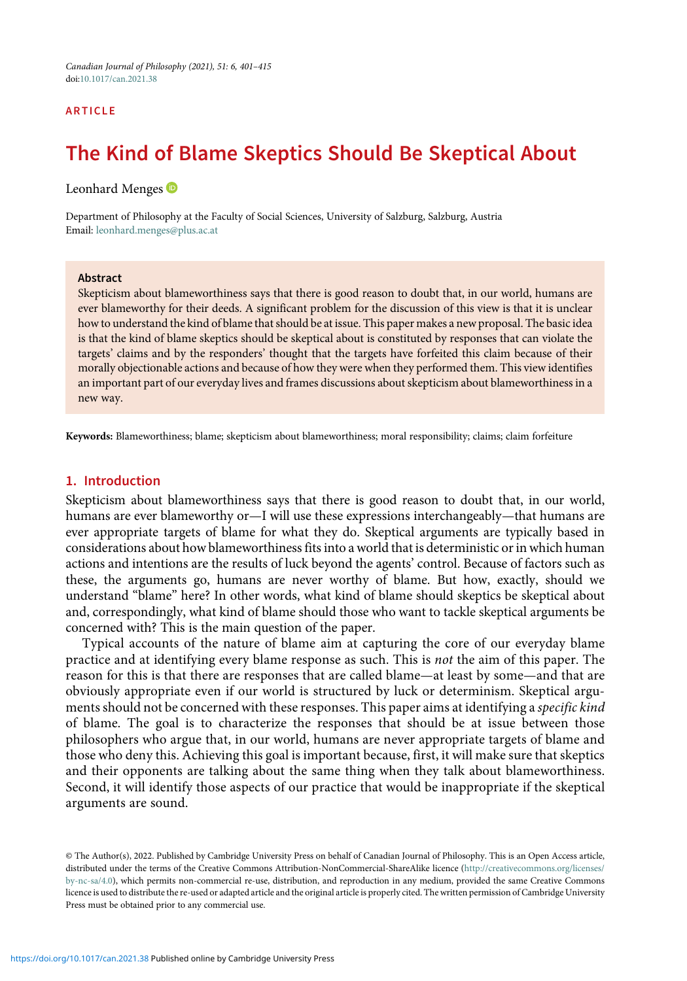# ARTICLE

# The Kind of Blame Skeptics Should Be Skeptical About

Leonhard Menges<sup>O</sup>

Department of Philosophy at the Faculty of Social Sciences, University of Salzburg, Salzburg, Austria Email: [leonhard.menges@plus.ac.at](mailto:leonhard.menges@plus.ac.at)

#### Abstract

Skepticism about blameworthiness says that there is good reason to doubt that, in our world, humans are ever blameworthy for their deeds. A significant problem for the discussion of this view is that it is unclear how to understand the kind of blame that should be at issue. This paper makes a new proposal. The basic idea is that the kind of blame skeptics should be skeptical about is constituted by responses that can violate the targets' claims and by the responders' thought that the targets have forfeited this claim because of their morally objectionable actions and because of how they were when they performed them. This view identifies an important part of our everyday lives and frames discussions about skepticism about blameworthiness in a new way.

Keywords: Blameworthiness; blame; skepticism about blameworthiness; moral responsibility; claims; claim forfeiture

## 1. Introduction

Skepticism about blameworthiness says that there is good reason to doubt that, in our world, humans are ever blameworthy or—I will use these expressions interchangeably—that humans are ever appropriate targets of blame for what they do. Skeptical arguments are typically based in considerations about how blameworthiness fits into a world that is deterministic or in which human actions and intentions are the results of luck beyond the agents' control. Because of factors such as these, the arguments go, humans are never worthy of blame. But how, exactly, should we understand "blame" here? In other words, what kind of blame should skeptics be skeptical about and, correspondingly, what kind of blame should those who want to tackle skeptical arguments be concerned with? This is the main question of the paper.

Typical accounts of the nature of blame aim at capturing the core of our everyday blame practice and at identifying every blame response as such. This is not the aim of this paper. The reason for this is that there are responses that are called blame—at least by some—and that are obviously appropriate even if our world is structured by luck or determinism. Skeptical arguments should not be concerned with these responses. This paper aims at identifying a specific kind of blame. The goal is to characterize the responses that should be at issue between those philosophers who argue that, in our world, humans are never appropriate targets of blame and those who deny this. Achieving this goal is important because, first, it will make sure that skeptics and their opponents are talking about the same thing when they talk about blameworthiness. Second, it will identify those aspects of our practice that would be inappropriate if the skeptical arguments are sound.

© The Author(s), 2022. Published by Cambridge University Press on behalf of Canadian Journal of Philosophy. This is an Open Access article, distributed under the terms of the Creative Commons Attribution-NonCommercial-ShareAlike licence ([http://creativecommons.org/licenses/](http://creativecommons.org/licenses/by-nc-sa/4.0) [by-nc-sa/4.0\)](http://creativecommons.org/licenses/by-nc-sa/4.0), which permits non-commercial re-use, distribution, and reproduction in any medium, provided the same Creative Commons licence is used to distribute the re-used or adapted article and the original article is properly cited. The written permission of Cambridge University Press must be obtained prior to any commercial use.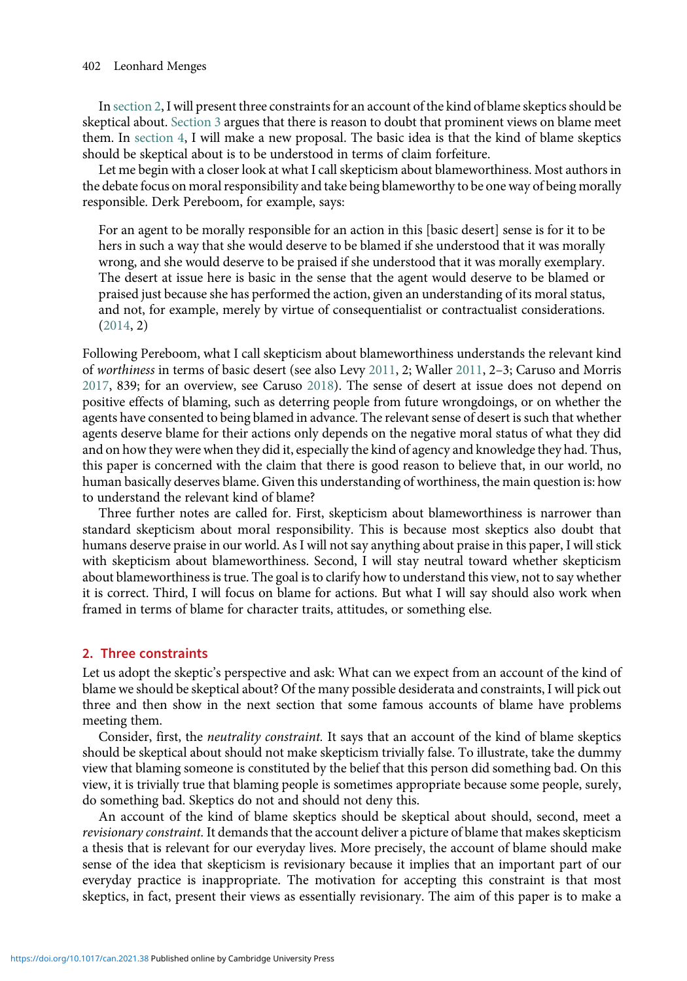<span id="page-1-0"></span>In section 2, I will present three constraints for an account of the kind of blame skeptics should be skeptical about. [Section 3](#page-3-0) argues that there is reason to doubt that prominent views on blame meet them. In [section 4](#page-8-0), I will make a new proposal. The basic idea is that the kind of blame skeptics should be skeptical about is to be understood in terms of claim forfeiture.

Let me begin with a closer look at what I call skepticism about blameworthiness. Most authors in the debate focus on moral responsibility and take being blameworthy to be one way of being morally responsible. Derk Pereboom, for example, says:

For an agent to be morally responsible for an action in this [basic desert] sense is for it to be hers in such a way that she would deserve to be blamed if she understood that it was morally wrong, and she would deserve to be praised if she understood that it was morally exemplary. The desert at issue here is basic in the sense that the agent would deserve to be blamed or praised just because she has performed the action, given an understanding of its moral status, and not, for example, merely by virtue of consequentialist or contractualist considerations. ([2014](#page-14-0), 2)

Following Pereboom, what I call skepticism about blameworthiness understands the relevant kind of worthiness in terms of basic desert (see also Levy [2011](#page-13-0), 2; Waller [2011](#page-14-0), 2–3; Caruso and Morris [2017,](#page-13-0) 839; for an overview, see Caruso [2018\)](#page-13-0). The sense of desert at issue does not depend on positive effects of blaming, such as deterring people from future wrongdoings, or on whether the agents have consented to being blamed in advance. The relevant sense of desert is such that whether agents deserve blame for their actions only depends on the negative moral status of what they did and on how they were when they did it, especially the kind of agency and knowledge they had. Thus, this paper is concerned with the claim that there is good reason to believe that, in our world, no human basically deserves blame. Given this understanding of worthiness, the main question is: how to understand the relevant kind of blame?

Three further notes are called for. First, skepticism about blameworthiness is narrower than standard skepticism about moral responsibility. This is because most skeptics also doubt that humans deserve praise in our world. As I will not say anything about praise in this paper, I will stick with skepticism about blameworthiness. Second, I will stay neutral toward whether skepticism about blameworthiness is true. The goal is to clarify how to understand this view, not to say whether it is correct. Third, I will focus on blame for actions. But what I will say should also work when framed in terms of blame for character traits, attitudes, or something else.

### 2. Three constraints

Let us adopt the skeptic's perspective and ask: What can we expect from an account of the kind of blame we should be skeptical about? Of the many possible desiderata and constraints, I will pick out three and then show in the next section that some famous accounts of blame have problems meeting them.

Consider, first, the neutrality constraint. It says that an account of the kind of blame skeptics should be skeptical about should not make skepticism trivially false. To illustrate, take the dummy view that blaming someone is constituted by the belief that this person did something bad. On this view, it is trivially true that blaming people is sometimes appropriate because some people, surely, do something bad. Skeptics do not and should not deny this.

An account of the kind of blame skeptics should be skeptical about should, second, meet a revisionary constraint. It demands that the account deliver a picture of blame that makes skepticism a thesis that is relevant for our everyday lives. More precisely, the account of blame should make sense of the idea that skepticism is revisionary because it implies that an important part of our everyday practice is inappropriate. The motivation for accepting this constraint is that most skeptics, in fact, present their views as essentially revisionary. The aim of this paper is to make a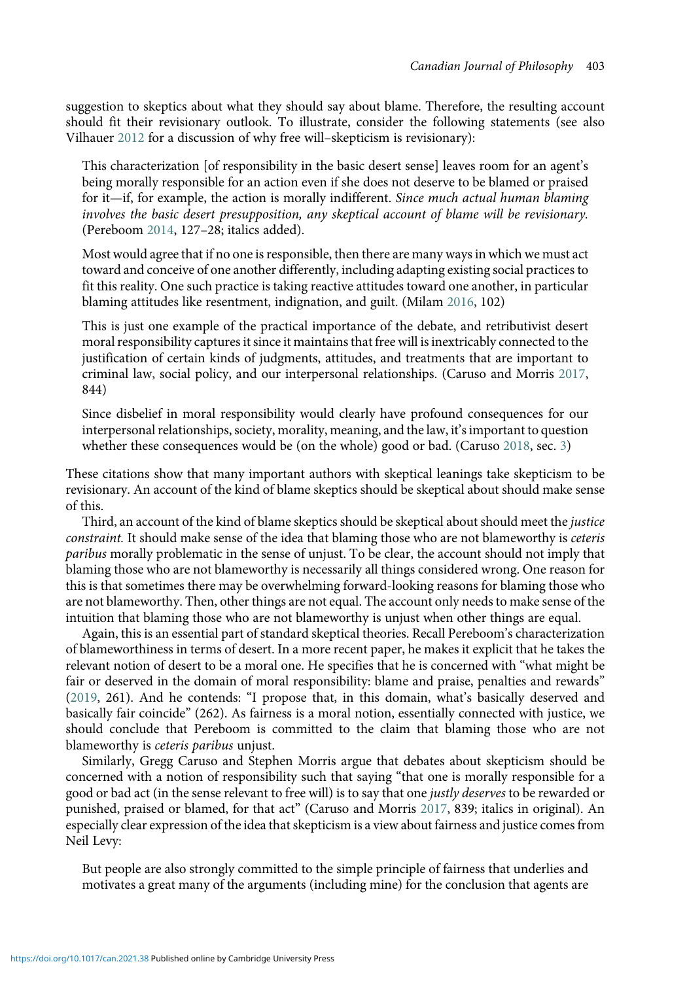suggestion to skeptics about what they should say about blame. Therefore, the resulting account should fit their revisionary outlook. To illustrate, consider the following statements (see also Vilhauer [2012](#page-14-0) for a discussion of why free will–skepticism is revisionary):

This characterization [of responsibility in the basic desert sense] leaves room for an agent's being morally responsible for an action even if she does not deserve to be blamed or praised for it—if, for example, the action is morally indifferent. Since much actual human blaming involves the basic desert presupposition, any skeptical account of blame will be revisionary. (Pereboom [2014,](#page-14-0) 127–28; italics added).

Most would agree that if no one is responsible, then there are many ways in which we must act toward and conceive of one another differently, including adapting existing social practices to fit this reality. One such practice is taking reactive attitudes toward one another, in particular blaming attitudes like resentment, indignation, and guilt. (Milam [2016,](#page-14-0) 102)

This is just one example of the practical importance of the debate, and retributivist desert moral responsibility captures it since it maintains that free will is inextricably connected to the justification of certain kinds of judgments, attitudes, and treatments that are important to criminal law, social policy, and our interpersonal relationships. (Caruso and Morris [2017](#page-13-0), 844)

Since disbelief in moral responsibility would clearly have profound consequences for our interpersonal relationships, society, morality, meaning, and the law, it's important to question whether these consequences would be (on the whole) good or bad. (Caruso [2018,](#page-13-0) sec. [3\)](#page-3-0)

These citations show that many important authors with skeptical leanings take skepticism to be revisionary. An account of the kind of blame skeptics should be skeptical about should make sense of this.

Third, an account of the kind of blame skeptics should be skeptical about should meet the justice constraint. It should make sense of the idea that blaming those who are not blameworthy is ceteris paribus morally problematic in the sense of unjust. To be clear, the account should not imply that blaming those who are not blameworthy is necessarily all things considered wrong. One reason for this is that sometimes there may be overwhelming forward-looking reasons for blaming those who are not blameworthy. Then, other things are not equal. The account only needs to make sense of the intuition that blaming those who are not blameworthy is unjust when other things are equal.

Again, this is an essential part of standard skeptical theories. Recall Pereboom's characterization of blameworthiness in terms of desert. In a more recent paper, he makes it explicit that he takes the relevant notion of desert to be a moral one. He specifies that he is concerned with "what might be fair or deserved in the domain of moral responsibility: blame and praise, penalties and rewards" ([2019](#page-14-0), 261). And he contends: "I propose that, in this domain, what's basically deserved and basically fair coincide" (262). As fairness is a moral notion, essentially connected with justice, we should conclude that Pereboom is committed to the claim that blaming those who are not blameworthy is ceteris paribus unjust.

Similarly, Gregg Caruso and Stephen Morris argue that debates about skepticism should be concerned with a notion of responsibility such that saying "that one is morally responsible for a good or bad act (in the sense relevant to free will) is to say that one justly deserves to be rewarded or punished, praised or blamed, for that act" (Caruso and Morris [2017](#page-13-0), 839; italics in original). An especially clear expression of the idea that skepticism is a view about fairness and justice comes from Neil Levy:

But people are also strongly committed to the simple principle of fairness that underlies and motivates a great many of the arguments (including mine) for the conclusion that agents are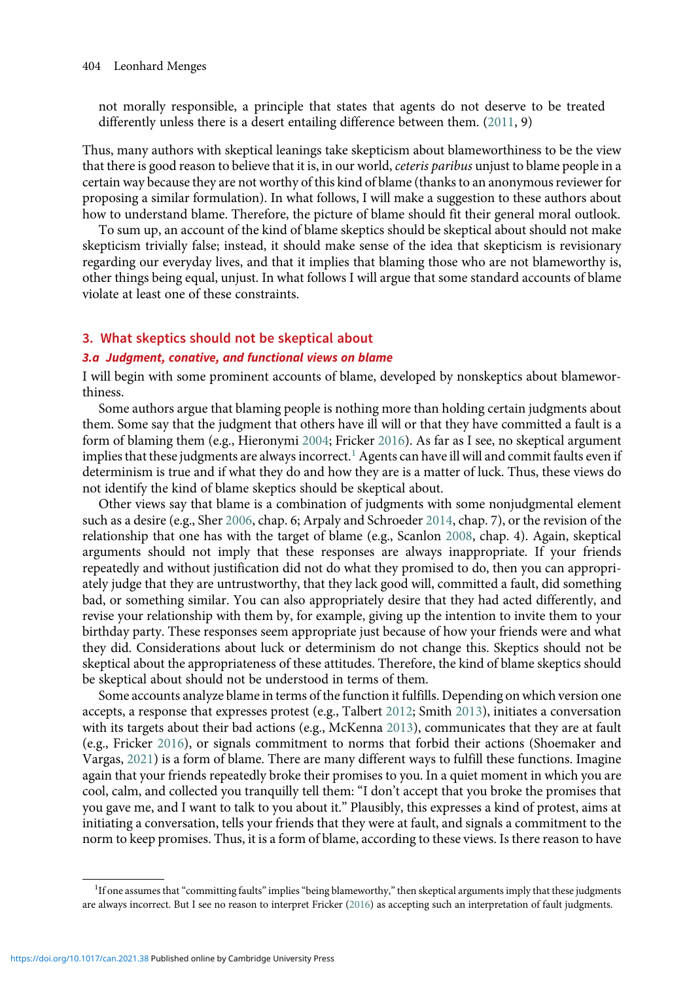<span id="page-3-0"></span>not morally responsible, a principle that states that agents do not deserve to be treated differently unless there is a desert entailing difference between them. ([2011](#page-13-0), 9)

Thus, many authors with skeptical leanings take skepticism about blameworthiness to be the view that there is good reason to believe that it is, in our world, ceteris paribus unjust to blame people in a certain way because they are not worthy of this kind of blame (thanks to an anonymous reviewer for proposing a similar formulation). In what follows, I will make a suggestion to these authors about how to understand blame. Therefore, the picture of blame should fit their general moral outlook.

To sum up, an account of the kind of blame skeptics should be skeptical about should not make skepticism trivially false; instead, it should make sense of the idea that skepticism is revisionary regarding our everyday lives, and that it implies that blaming those who are not blameworthy is, other things being equal, unjust. In what follows I will argue that some standard accounts of blame violate at least one of these constraints.

# 3. What skeptics should not be skeptical about

### 3.a Judgment, conative, and functional views on blame

I will begin with some prominent accounts of blame, developed by nonskeptics about blameworthiness.

Some authors argue that blaming people is nothing more than holding certain judgments about them. Some say that the judgment that others have ill will or that they have committed a fault is a form of blaming them (e.g., Hieronymi [2004](#page-13-0); Fricker [2016\)](#page-13-0). As far as I see, no skeptical argument implies that these judgments are always incorrect.<sup>1</sup> Agents can have ill will and commit faults even if determinism is true and if what they do and how they are is a matter of luck. Thus, these views do not identify the kind of blame skeptics should be skeptical about.

Other views say that blame is a combination of judgments with some nonjudgmental element such as a desire (e.g., Sher [2006,](#page-14-0) chap. 6; Arpaly and Schroeder [2014,](#page-13-0) chap. 7), or the revision of the relationship that one has with the target of blame (e.g., Scanlon [2008,](#page-14-0) chap. 4). Again, skeptical arguments should not imply that these responses are always inappropriate. If your friends repeatedly and without justification did not do what they promised to do, then you can appropriately judge that they are untrustworthy, that they lack good will, committed a fault, did something bad, or something similar. You can also appropriately desire that they had acted differently, and revise your relationship with them by, for example, giving up the intention to invite them to your birthday party. These responses seem appropriate just because of how your friends were and what they did. Considerations about luck or determinism do not change this. Skeptics should not be skeptical about the appropriateness of these attitudes. Therefore, the kind of blame skeptics should be skeptical about should not be understood in terms of them.

Some accounts analyze blame in terms of the function it fulfills. Depending on which version one accepts, a response that expresses protest (e.g., Talbert [2012;](#page-14-0) Smith [2013\)](#page-14-0), initiates a conversation with its targets about their bad actions (e.g., McKenna [2013](#page-13-0)), communicates that they are at fault (e.g., Fricker [2016\)](#page-13-0), or signals commitment to norms that forbid their actions (Shoemaker and Vargas, [2021\)](#page-14-0) is a form of blame. There are many different ways to fulfill these functions. Imagine again that your friends repeatedly broke their promises to you. In a quiet moment in which you are cool, calm, and collected you tranquilly tell them: "I don't accept that you broke the promises that you gave me, and I want to talk to you about it." Plausibly, this expresses a kind of protest, aims at initiating a conversation, tells your friends that they were at fault, and signals a commitment to the norm to keep promises. Thus, it is a form of blame, according to these views. Is there reason to have

<sup>&</sup>lt;sup>1</sup>If one assumes that "committing faults" implies "being blameworthy," then skeptical arguments imply that these judgments are always incorrect. But I see no reason to interpret Fricker [\(2016\)](#page-13-0) as accepting such an interpretation of fault judgments.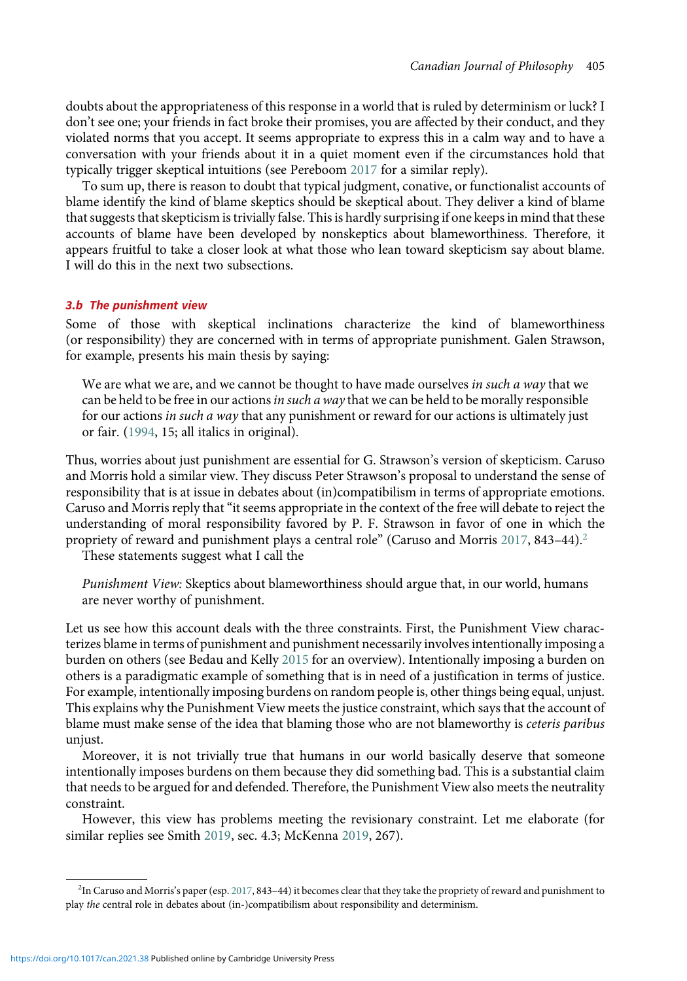doubts about the appropriateness of this response in a world that is ruled by determinism or luck? I don't see one; your friends in fact broke their promises, you are affected by their conduct, and they violated norms that you accept. It seems appropriate to express this in a calm way and to have a conversation with your friends about it in a quiet moment even if the circumstances hold that typically trigger skeptical intuitions (see Pereboom [2017](#page-14-0) for a similar reply).

To sum up, there is reason to doubt that typical judgment, conative, or functionalist accounts of blame identify the kind of blame skeptics should be skeptical about. They deliver a kind of blame that suggests that skepticism is trivially false. This is hardly surprising if one keeps in mind that these accounts of blame have been developed by nonskeptics about blameworthiness. Therefore, it appears fruitful to take a closer look at what those who lean toward skepticism say about blame. I will do this in the next two subsections.

# 3.b The punishment view

Some of those with skeptical inclinations characterize the kind of blameworthiness (or responsibility) they are concerned with in terms of appropriate punishment. Galen Strawson, for example, presents his main thesis by saying:

We are what we are, and we cannot be thought to have made ourselves in such a way that we can be held to be free in our actions in such a way that we can be held to be morally responsible for our actions in such a way that any punishment or reward for our actions is ultimately just or fair. ([1994](#page-14-0), 15; all italics in original).

Thus, worries about just punishment are essential for G. Strawson's version of skepticism. Caruso and Morris hold a similar view. They discuss Peter Strawson's proposal to understand the sense of responsibility that is at issue in debates about (in)compatibilism in terms of appropriate emotions. Caruso and Morris reply that"it seems appropriate in the context of the free will debate to reject the understanding of moral responsibility favored by P. F. Strawson in favor of one in which the propriety of reward and punishment plays a central role" (Caruso and Morris [2017](#page-13-0), 843–44).<sup>2</sup>

These statements suggest what I call the

Punishment View: Skeptics about blameworthiness should argue that, in our world, humans are never worthy of punishment.

Let us see how this account deals with the three constraints. First, the Punishment View characterizes blame in terms of punishment and punishment necessarily involves intentionally imposing a burden on others (see Bedau and Kelly [2015](#page-13-0) for an overview). Intentionally imposing a burden on others is a paradigmatic example of something that is in need of a justification in terms of justice. For example, intentionally imposing burdens on random people is, other things being equal, unjust. This explains why the Punishment View meets the justice constraint, which says that the account of blame must make sense of the idea that blaming those who are not blameworthy is ceteris paribus unjust.

Moreover, it is not trivially true that humans in our world basically deserve that someone intentionally imposes burdens on them because they did something bad. This is a substantial claim that needs to be argued for and defended. Therefore, the Punishment View also meets the neutrality constraint.

However, this view has problems meeting the revisionary constraint. Let me elaborate (for similar replies see Smith [2019](#page-14-0), sec. 4.3; McKenna [2019](#page-14-0), 267).

<sup>2</sup> In Caruso and Morris's paper (esp. [2017,](#page-13-0) 843–44) it becomes clear that they take the propriety of reward and punishment to play the central role in debates about (in-)compatibilism about responsibility and determinism.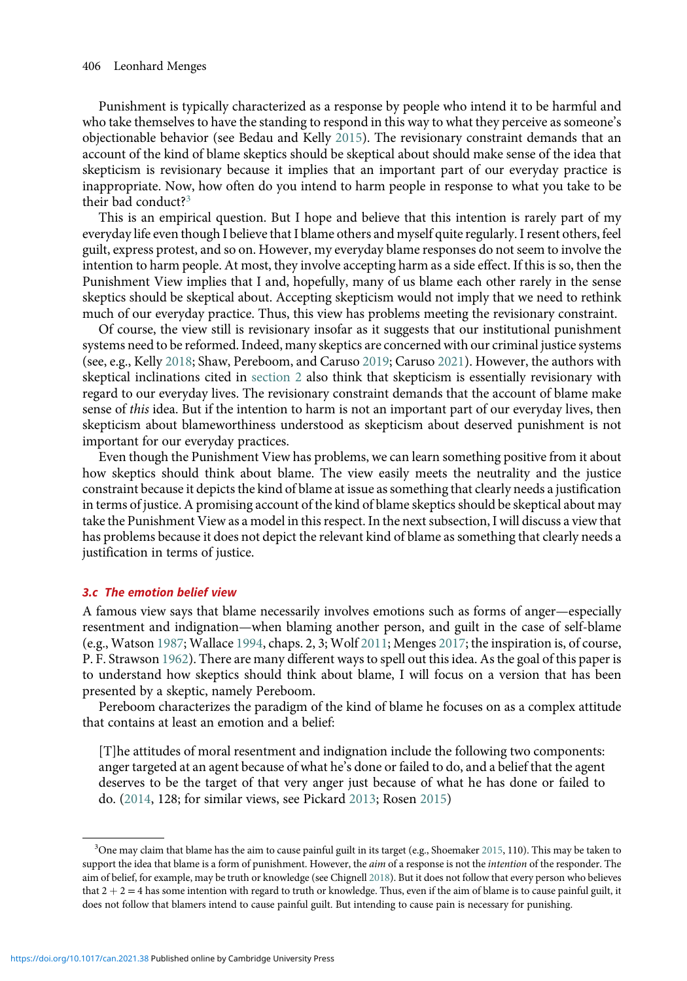Punishment is typically characterized as a response by people who intend it to be harmful and who take themselves to have the standing to respond in this way to what they perceive as someone's objectionable behavior (see Bedau and Kelly [2015\)](#page-13-0). The revisionary constraint demands that an account of the kind of blame skeptics should be skeptical about should make sense of the idea that skepticism is revisionary because it implies that an important part of our everyday practice is inappropriate. Now, how often do you intend to harm people in response to what you take to be their bad conduct?<sup>3</sup>

This is an empirical question. But I hope and believe that this intention is rarely part of my everyday life even though I believe that I blame others and myself quite regularly. I resent others, feel guilt, express protest, and so on. However, my everyday blame responses do not seem to involve the intention to harm people. At most, they involve accepting harm as a side effect. If this is so, then the Punishment View implies that I and, hopefully, many of us blame each other rarely in the sense skeptics should be skeptical about. Accepting skepticism would not imply that we need to rethink much of our everyday practice. Thus, this view has problems meeting the revisionary constraint.

Of course, the view still is revisionary insofar as it suggests that our institutional punishment systems need to be reformed. Indeed, many skeptics are concerned with our criminal justice systems (see, e.g., Kelly [2018;](#page-13-0) Shaw, Pereboom, and Caruso [2019;](#page-14-0) Caruso [2021\)](#page-13-0). However, the authors with skeptical inclinations cited in [section 2](#page-1-0) also think that skepticism is essentially revisionary with regard to our everyday lives. The revisionary constraint demands that the account of blame make sense of this idea. But if the intention to harm is not an important part of our everyday lives, then skepticism about blameworthiness understood as skepticism about deserved punishment is not important for our everyday practices.

Even though the Punishment View has problems, we can learn something positive from it about how skeptics should think about blame. The view easily meets the neutrality and the justice constraint because it depicts the kind of blame at issue as something that clearly needs a justification in terms of justice. A promising account of the kind of blame skeptics should be skeptical about may take the Punishment View as a model in this respect. In the next subsection, I will discuss a view that has problems because it does not depict the relevant kind of blame as something that clearly needs a justification in terms of justice.

# 3.c The emotion belief view

A famous view says that blame necessarily involves emotions such as forms of anger—especially resentment and indignation—when blaming another person, and guilt in the case of self-blame (e.g., Watson [1987;](#page-14-0) Wallace [1994,](#page-14-0) chaps. 2, 3; Wolf [2011](#page-14-0); Menges [2017](#page-14-0); the inspiration is, of course, P. F. Strawson [1962](#page-14-0)). There are many different ways to spell out this idea. As the goal of this paper is to understand how skeptics should think about blame, I will focus on a version that has been presented by a skeptic, namely Pereboom.

Pereboom characterizes the paradigm of the kind of blame he focuses on as a complex attitude that contains at least an emotion and a belief:

[T]he attitudes of moral resentment and indignation include the following two components: anger targeted at an agent because of what he's done or failed to do, and a belief that the agent deserves to be the target of that very anger just because of what he has done or failed to do. [\(2014,](#page-14-0) 128; for similar views, see Pickard [2013;](#page-14-0) Rosen [2015\)](#page-14-0)

<sup>&</sup>lt;sup>3</sup>One may claim that blame has the aim to cause painful guilt in its target (e.g., Shoemaker [2015,](#page-14-0) 110). This may be taken to support the idea that blame is a form of punishment. However, the aim of a response is not the intention of the responder. The aim of belief, for example, may be truth or knowledge (see Chignell [2018](#page-13-0)). But it does not follow that every person who believes that  $2 + 2 = 4$  has some intention with regard to truth or knowledge. Thus, even if the aim of blame is to cause painful guilt, it does not follow that blamers intend to cause painful guilt. But intending to cause pain is necessary for punishing.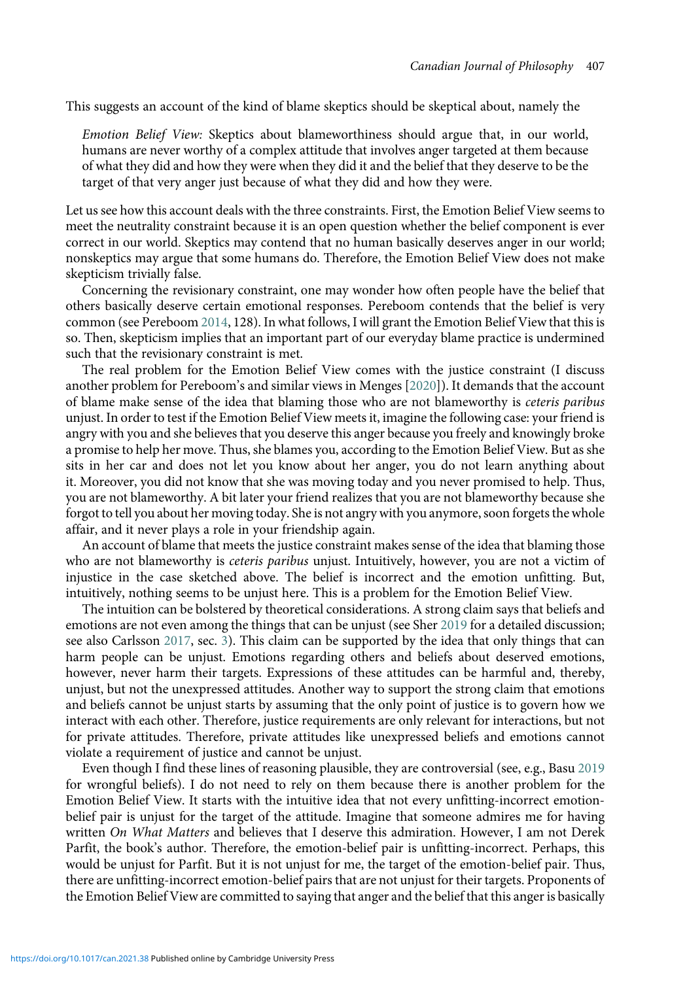This suggests an account of the kind of blame skeptics should be skeptical about, namely the

Emotion Belief View: Skeptics about blameworthiness should argue that, in our world, humans are never worthy of a complex attitude that involves anger targeted at them because of what they did and how they were when they did it and the belief that they deserve to be the target of that very anger just because of what they did and how they were.

Let us see how this account deals with the three constraints. First, the Emotion Belief View seems to meet the neutrality constraint because it is an open question whether the belief component is ever correct in our world. Skeptics may contend that no human basically deserves anger in our world; nonskeptics may argue that some humans do. Therefore, the Emotion Belief View does not make skepticism trivially false.

Concerning the revisionary constraint, one may wonder how often people have the belief that others basically deserve certain emotional responses. Pereboom contends that the belief is very common (see Pereboom [2014](#page-14-0), 128). In what follows, I will grant the Emotion Belief View that this is so. Then, skepticism implies that an important part of our everyday blame practice is undermined such that the revisionary constraint is met.

The real problem for the Emotion Belief View comes with the justice constraint (I discuss another problem for Pereboom's and similar views in Menges [\[2020](#page-14-0)]). It demands that the account of blame make sense of the idea that blaming those who are not blameworthy is *ceteris paribus* unjust. In order to test if the Emotion Belief View meets it, imagine the following case: your friend is angry with you and she believes that you deserve this anger because you freely and knowingly broke a promise to help her move. Thus, she blames you, according to the Emotion Belief View. But as she sits in her car and does not let you know about her anger, you do not learn anything about it. Moreover, you did not know that she was moving today and you never promised to help. Thus, you are not blameworthy. A bit later your friend realizes that you are not blameworthy because she forgot to tell you about her moving today. She is not angry with you anymore, soon forgets the whole affair, and it never plays a role in your friendship again.

An account of blame that meets the justice constraint makes sense of the idea that blaming those who are not blameworthy is *ceteris paribus* unjust. Intuitively, however, you are not a victim of injustice in the case sketched above. The belief is incorrect and the emotion unfitting. But, intuitively, nothing seems to be unjust here. This is a problem for the Emotion Belief View.

The intuition can be bolstered by theoretical considerations. A strong claim says that beliefs and emotions are not even among the things that can be unjust (see Sher [2019](#page-14-0) for a detailed discussion; see also Carlsson [2017,](#page-13-0) sec. [3](#page-3-0)). This claim can be supported by the idea that only things that can harm people can be unjust. Emotions regarding others and beliefs about deserved emotions, however, never harm their targets. Expressions of these attitudes can be harmful and, thereby, unjust, but not the unexpressed attitudes. Another way to support the strong claim that emotions and beliefs cannot be unjust starts by assuming that the only point of justice is to govern how we interact with each other. Therefore, justice requirements are only relevant for interactions, but not for private attitudes. Therefore, private attitudes like unexpressed beliefs and emotions cannot violate a requirement of justice and cannot be unjust.

Even though I find these lines of reasoning plausible, they are controversial (see, e.g., Basu [2019](#page-13-0) for wrongful beliefs). I do not need to rely on them because there is another problem for the Emotion Belief View. It starts with the intuitive idea that not every unfitting-incorrect emotionbelief pair is unjust for the target of the attitude. Imagine that someone admires me for having written On What Matters and believes that I deserve this admiration. However, I am not Derek Parfit, the book's author. Therefore, the emotion-belief pair is unfitting-incorrect. Perhaps, this would be unjust for Parfit. But it is not unjust for me, the target of the emotion-belief pair. Thus, there are unfitting-incorrect emotion-belief pairs that are not unjust for their targets. Proponents of the Emotion Belief View are committed to saying that anger and the belief that this anger is basically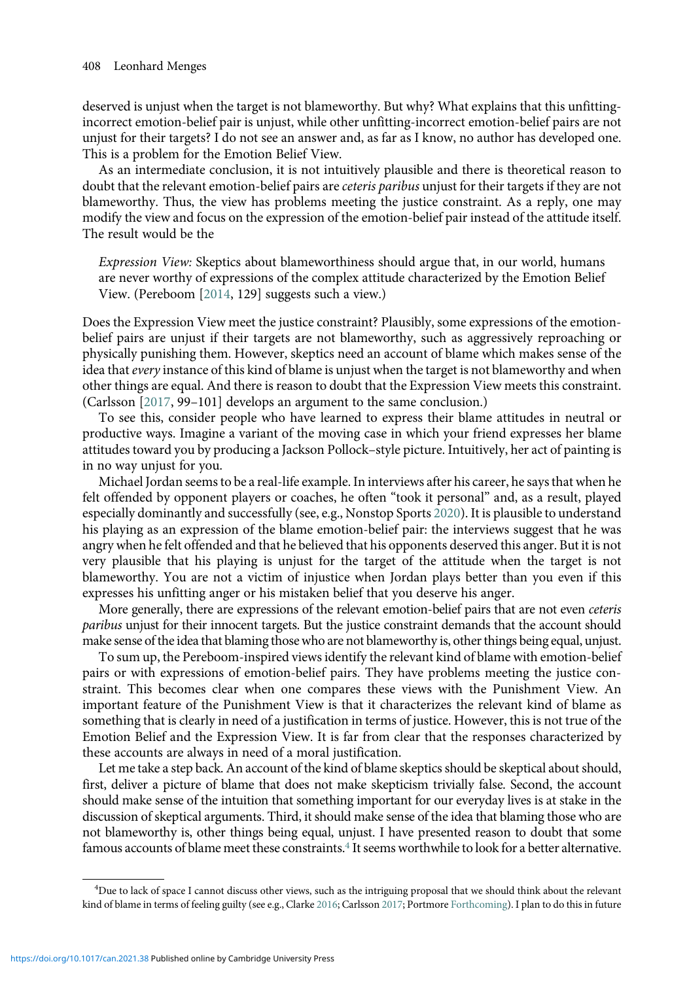deserved is unjust when the target is not blameworthy. But why? What explains that this unfittingincorrect emotion-belief pair is unjust, while other unfitting-incorrect emotion-belief pairs are not unjust for their targets? I do not see an answer and, as far as I know, no author has developed one. This is a problem for the Emotion Belief View.

As an intermediate conclusion, it is not intuitively plausible and there is theoretical reason to doubt that the relevant emotion-belief pairs are *ceteris paribus* unjust for their targets if they are not blameworthy. Thus, the view has problems meeting the justice constraint. As a reply, one may modify the view and focus on the expression of the emotion-belief pair instead of the attitude itself. The result would be the

Expression View: Skeptics about blameworthiness should argue that, in our world, humans are never worthy of expressions of the complex attitude characterized by the Emotion Belief View. (Pereboom [\[2014](#page-14-0), 129] suggests such a view.)

Does the Expression View meet the justice constraint? Plausibly, some expressions of the emotionbelief pairs are unjust if their targets are not blameworthy, such as aggressively reproaching or physically punishing them. However, skeptics need an account of blame which makes sense of the idea that every instance of this kind of blame is unjust when the target is not blameworthy and when other things are equal. And there is reason to doubt that the Expression View meets this constraint. (Carlsson [[2017](#page-13-0), 99–101] develops an argument to the same conclusion.)

To see this, consider people who have learned to express their blame attitudes in neutral or productive ways. Imagine a variant of the moving case in which your friend expresses her blame attitudes toward you by producing a Jackson Pollock–style picture. Intuitively, her act of painting is in no way unjust for you.

Michael Jordan seems to be a real-life example. In interviews after his career, he says that when he felt offended by opponent players or coaches, he often "took it personal" and, as a result, played especially dominantly and successfully (see, e.g., Nonstop Sports [2020\)](#page-14-0). It is plausible to understand his playing as an expression of the blame emotion-belief pair: the interviews suggest that he was angry when he felt offended and that he believed that his opponents deserved this anger. But it is not very plausible that his playing is unjust for the target of the attitude when the target is not blameworthy. You are not a victim of injustice when Jordan plays better than you even if this expresses his unfitting anger or his mistaken belief that you deserve his anger.

More generally, there are expressions of the relevant emotion-belief pairs that are not even ceteris paribus unjust for their innocent targets. But the justice constraint demands that the account should make sense of the idea that blaming those who are not blameworthy is, other things being equal, unjust.

To sum up, the Pereboom-inspired views identify the relevant kind of blame with emotion-belief pairs or with expressions of emotion-belief pairs. They have problems meeting the justice constraint. This becomes clear when one compares these views with the Punishment View. An important feature of the Punishment View is that it characterizes the relevant kind of blame as something that is clearly in need of a justification in terms of justice. However, this is not true of the Emotion Belief and the Expression View. It is far from clear that the responses characterized by these accounts are always in need of a moral justification.

Let me take a step back. An account of the kind of blame skeptics should be skeptical about should, first, deliver a picture of blame that does not make skepticism trivially false. Second, the account should make sense of the intuition that something important for our everyday lives is at stake in the discussion of skeptical arguments. Third, it should make sense of the idea that blaming those who are not blameworthy is, other things being equal, unjust. I have presented reason to doubt that some famous accounts of blame meet these constraints. $4$  It seems worthwhile to look for a better alternative.

<sup>4</sup> Due to lack of space I cannot discuss other views, such as the intriguing proposal that we should think about the relevant kind of blame in terms of feeling guilty (see e.g., Clarke [2016;](#page-13-0) Carlsson [2017](#page-13-0); Portmore [Forthcoming](#page-14-0)). I plan to do this in future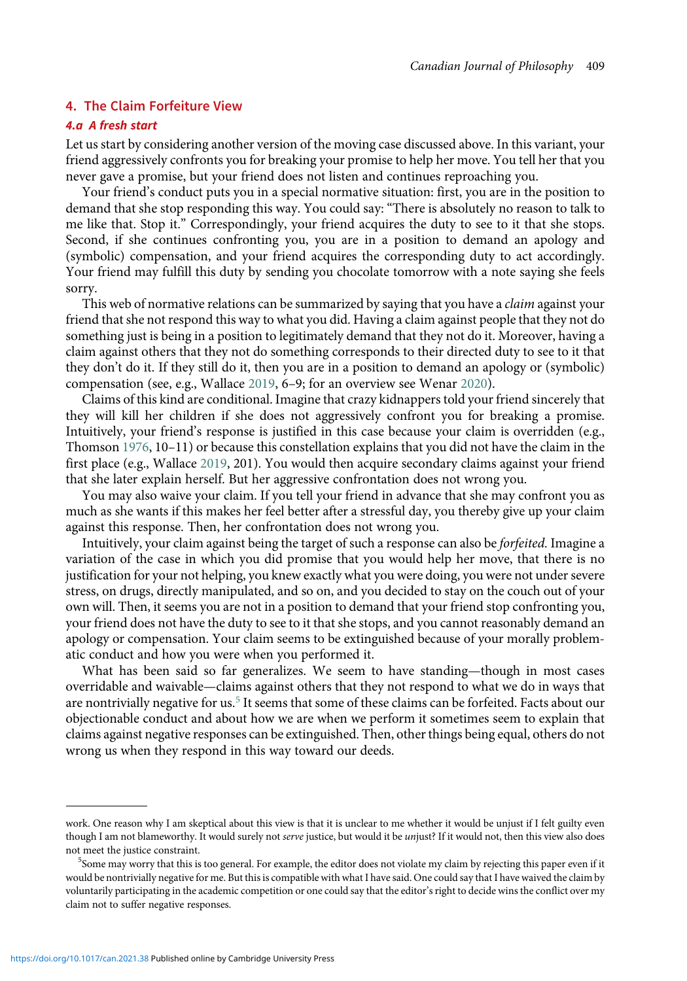# <span id="page-8-0"></span>4. The Claim Forfeiture View

# 4.a A fresh start

Let us start by considering another version of the moving case discussed above. In this variant, your friend aggressively confronts you for breaking your promise to help her move. You tell her that you never gave a promise, but your friend does not listen and continues reproaching you.

Your friend's conduct puts you in a special normative situation: first, you are in the position to demand that she stop responding this way. You could say: "There is absolutely no reason to talk to me like that. Stop it." Correspondingly, your friend acquires the duty to see to it that she stops. Second, if she continues confronting you, you are in a position to demand an apology and (symbolic) compensation, and your friend acquires the corresponding duty to act accordingly. Your friend may fulfill this duty by sending you chocolate tomorrow with a note saying she feels sorry.

This web of normative relations can be summarized by saying that you have a *claim* against your friend that she not respond this way to what you did. Having a claim against people that they not do something just is being in a position to legitimately demand that they not do it. Moreover, having a claim against others that they not do something corresponds to their directed duty to see to it that they don't do it. If they still do it, then you are in a position to demand an apology or (symbolic) compensation (see, e.g., Wallace [2019,](#page-14-0) 6–9; for an overview see Wenar [2020\)](#page-14-0).

Claims of this kind are conditional. Imagine that crazy kidnappers told your friend sincerely that they will kill her children if she does not aggressively confront you for breaking a promise. Intuitively, your friend's response is justified in this case because your claim is overridden (e.g., Thomson [1976](#page-14-0), 10–11) or because this constellation explains that you did not have the claim in the first place (e.g., Wallace [2019,](#page-14-0) 201). You would then acquire secondary claims against your friend that she later explain herself. But her aggressive confrontation does not wrong you.

You may also waive your claim. If you tell your friend in advance that she may confront you as much as she wants if this makes her feel better after a stressful day, you thereby give up your claim against this response. Then, her confrontation does not wrong you.

Intuitively, your claim against being the target of such a response can also be forfeited. Imagine a variation of the case in which you did promise that you would help her move, that there is no justification for your not helping, you knew exactly what you were doing, you were not under severe stress, on drugs, directly manipulated, and so on, and you decided to stay on the couch out of your own will. Then, it seems you are not in a position to demand that your friend stop confronting you, your friend does not have the duty to see to it that she stops, and you cannot reasonably demand an apology or compensation. Your claim seems to be extinguished because of your morally problematic conduct and how you were when you performed it.

What has been said so far generalizes. We seem to have standing—though in most cases overridable and waivable—claims against others that they not respond to what we do in ways that are nontrivially negative for us.<sup>5</sup> It seems that some of these claims can be forfeited. Facts about our objectionable conduct and about how we are when we perform it sometimes seem to explain that claims against negative responses can be extinguished. Then, other things being equal, others do not wrong us when they respond in this way toward our deeds.

work. One reason why I am skeptical about this view is that it is unclear to me whether it would be unjust if I felt guilty even though I am not blameworthy. It would surely not serve justice, but would it be unjust? If it would not, then this view also does not meet the justice constraint.

Some may worry that this is too general. For example, the editor does not violate my claim by rejecting this paper even if it would be nontrivially negative for me. But this is compatible with what I have said. One could say that I have waived the claim by voluntarily participating in the academic competition or one could say that the editor's right to decide wins the conflict over my claim not to suffer negative responses.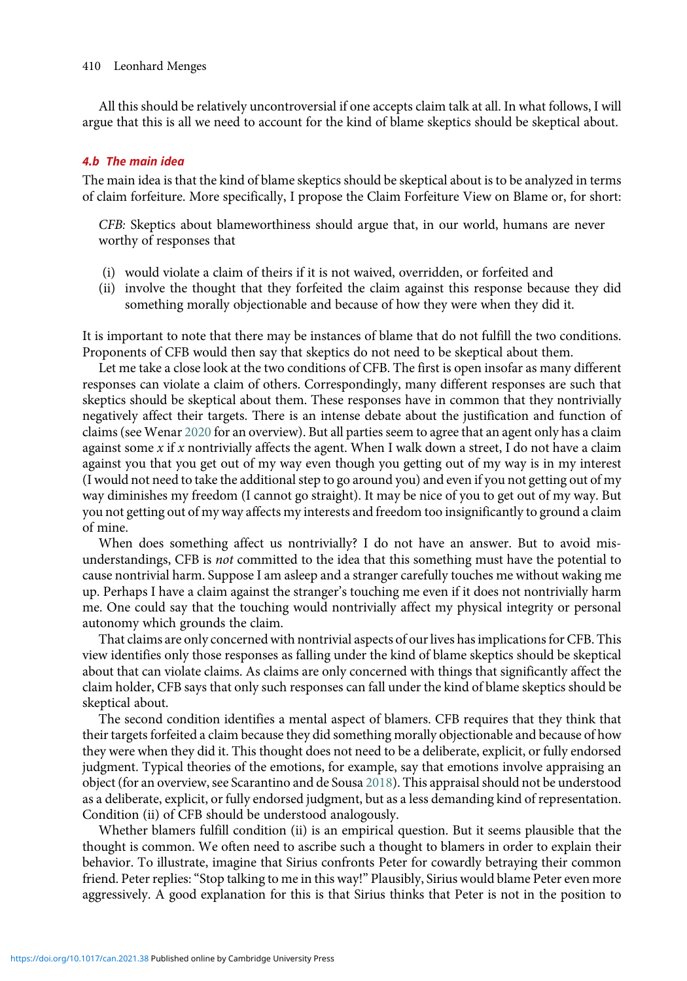All this should be relatively uncontroversial if one accepts claim talk at all. In what follows, I will argue that this is all we need to account for the kind of blame skeptics should be skeptical about.

# 4.b The main idea

The main idea is that the kind of blame skeptics should be skeptical about is to be analyzed in terms of claim forfeiture. More specifically, I propose the Claim Forfeiture View on Blame or, for short:

CFB: Skeptics about blameworthiness should argue that, in our world, humans are never worthy of responses that

- (i) would violate a claim of theirs if it is not waived, overridden, or forfeited and
- (ii) involve the thought that they forfeited the claim against this response because they did something morally objectionable and because of how they were when they did it.

It is important to note that there may be instances of blame that do not fulfill the two conditions. Proponents of CFB would then say that skeptics do not need to be skeptical about them.

Let me take a close look at the two conditions of CFB. The first is open insofar as many different responses can violate a claim of others. Correspondingly, many different responses are such that skeptics should be skeptical about them. These responses have in common that they nontrivially negatively affect their targets. There is an intense debate about the justification and function of claims (see Wenar [2020](#page-14-0) for an overview). But all parties seem to agree that an agent only has a claim against some x if x nontrivially affects the agent. When I walk down a street, I do not have a claim against you that you get out of my way even though you getting out of my way is in my interest (I would not need to take the additional step to go around you) and even if you not getting out of my way diminishes my freedom (I cannot go straight). It may be nice of you to get out of my way. But you not getting out of my way affects my interests and freedom too insignificantly to ground a claim of mine.

When does something affect us nontrivially? I do not have an answer. But to avoid misunderstandings, CFB is *not* committed to the idea that this something must have the potential to cause nontrivial harm. Suppose I am asleep and a stranger carefully touches me without waking me up. Perhaps I have a claim against the stranger's touching me even if it does not nontrivially harm me. One could say that the touching would nontrivially affect my physical integrity or personal autonomy which grounds the claim.

That claims are only concerned with nontrivial aspects of our lives has implications for CFB. This view identifies only those responses as falling under the kind of blame skeptics should be skeptical about that can violate claims. As claims are only concerned with things that significantly affect the claim holder, CFB says that only such responses can fall under the kind of blame skeptics should be skeptical about.

The second condition identifies a mental aspect of blamers. CFB requires that they think that their targets forfeited a claim because they did something morally objectionable and because of how they were when they did it. This thought does not need to be a deliberate, explicit, or fully endorsed judgment. Typical theories of the emotions, for example, say that emotions involve appraising an object (for an overview, see Scarantino and de Sousa [2018\)](#page-14-0). This appraisal should not be understood as a deliberate, explicit, or fully endorsed judgment, but as a less demanding kind of representation. Condition (ii) of CFB should be understood analogously.

Whether blamers fulfill condition (ii) is an empirical question. But it seems plausible that the thought is common. We often need to ascribe such a thought to blamers in order to explain their behavior. To illustrate, imagine that Sirius confronts Peter for cowardly betraying their common friend. Peter replies:"Stop talking to me in this way!" Plausibly, Sirius would blame Peter even more aggressively. A good explanation for this is that Sirius thinks that Peter is not in the position to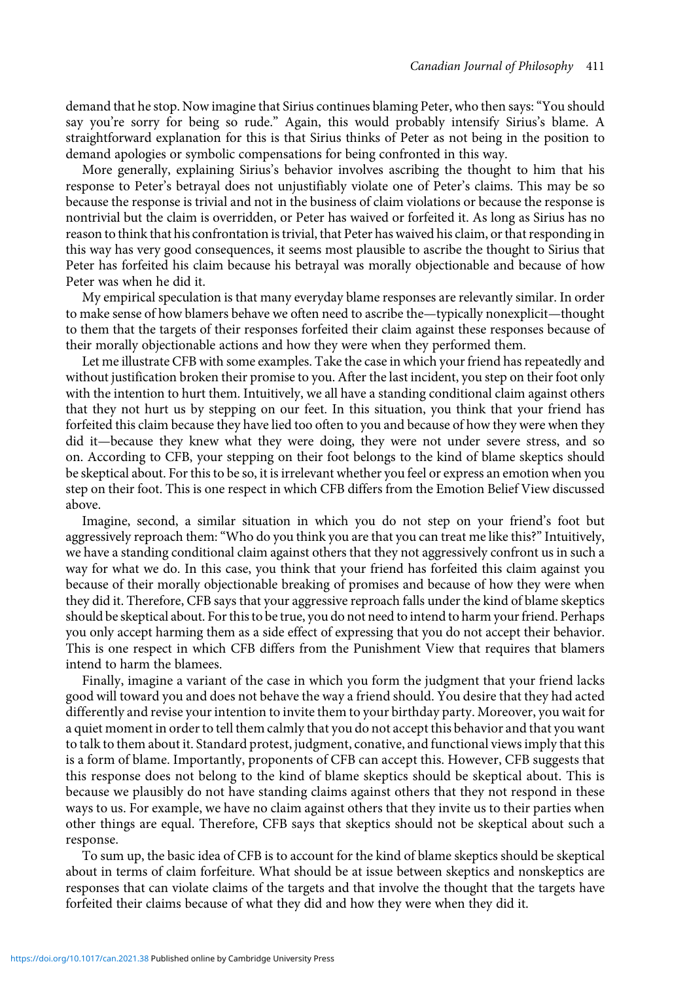demand that he stop. Now imagine that Sirius continues blaming Peter, who then says:"You should say you're sorry for being so rude." Again, this would probably intensify Sirius's blame. A straightforward explanation for this is that Sirius thinks of Peter as not being in the position to demand apologies or symbolic compensations for being confronted in this way.

More generally, explaining Sirius's behavior involves ascribing the thought to him that his response to Peter's betrayal does not unjustifiably violate one of Peter's claims. This may be so because the response is trivial and not in the business of claim violations or because the response is nontrivial but the claim is overridden, or Peter has waived or forfeited it. As long as Sirius has no reason to think that his confrontation is trivial, that Peter has waived his claim, or that responding in this way has very good consequences, it seems most plausible to ascribe the thought to Sirius that Peter has forfeited his claim because his betrayal was morally objectionable and because of how Peter was when he did it.

My empirical speculation is that many everyday blame responses are relevantly similar. In order to make sense of how blamers behave we often need to ascribe the—typically nonexplicit—thought to them that the targets of their responses forfeited their claim against these responses because of their morally objectionable actions and how they were when they performed them.

Let me illustrate CFB with some examples. Take the case in which your friend has repeatedly and without justification broken their promise to you. After the last incident, you step on their foot only with the intention to hurt them. Intuitively, we all have a standing conditional claim against others that they not hurt us by stepping on our feet. In this situation, you think that your friend has forfeited this claim because they have lied too often to you and because of how they were when they did it—because they knew what they were doing, they were not under severe stress, and so on. According to CFB, your stepping on their foot belongs to the kind of blame skeptics should be skeptical about. For this to be so, it is irrelevant whether you feel or express an emotion when you step on their foot. This is one respect in which CFB differs from the Emotion Belief View discussed above.

Imagine, second, a similar situation in which you do not step on your friend's foot but aggressively reproach them: "Who do you think you are that you can treat me like this?" Intuitively, we have a standing conditional claim against others that they not aggressively confront us in such a way for what we do. In this case, you think that your friend has forfeited this claim against you because of their morally objectionable breaking of promises and because of how they were when they did it. Therefore, CFB says that your aggressive reproach falls under the kind of blame skeptics should be skeptical about. For this to be true, you do not need to intend to harm your friend. Perhaps you only accept harming them as a side effect of expressing that you do not accept their behavior. This is one respect in which CFB differs from the Punishment View that requires that blamers intend to harm the blamees.

Finally, imagine a variant of the case in which you form the judgment that your friend lacks good will toward you and does not behave the way a friend should. You desire that they had acted differently and revise your intention to invite them to your birthday party. Moreover, you wait for a quiet moment in order to tell them calmly that you do not accept this behavior and that you want to talk to them about it. Standard protest, judgment, conative, and functional views imply that this is a form of blame. Importantly, proponents of CFB can accept this. However, CFB suggests that this response does not belong to the kind of blame skeptics should be skeptical about. This is because we plausibly do not have standing claims against others that they not respond in these ways to us. For example, we have no claim against others that they invite us to their parties when other things are equal. Therefore, CFB says that skeptics should not be skeptical about such a response.

To sum up, the basic idea of CFB is to account for the kind of blame skeptics should be skeptical about in terms of claim forfeiture. What should be at issue between skeptics and nonskeptics are responses that can violate claims of the targets and that involve the thought that the targets have forfeited their claims because of what they did and how they were when they did it.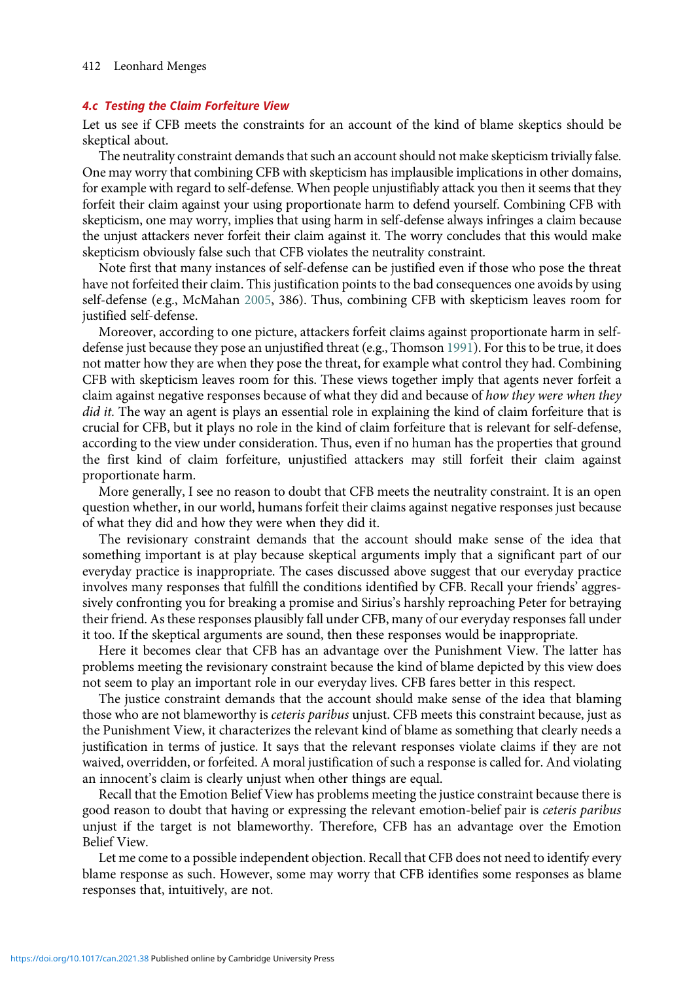# 4.c Testing the Claim Forfeiture View

Let us see if CFB meets the constraints for an account of the kind of blame skeptics should be skeptical about.

The neutrality constraint demands that such an account should not make skepticism trivially false. One may worry that combining CFB with skepticism has implausible implications in other domains, for example with regard to self-defense. When people unjustifiably attack you then it seems that they forfeit their claim against your using proportionate harm to defend yourself. Combining CFB with skepticism, one may worry, implies that using harm in self-defense always infringes a claim because the unjust attackers never forfeit their claim against it. The worry concludes that this would make skepticism obviously false such that CFB violates the neutrality constraint.

Note first that many instances of self-defense can be justified even if those who pose the threat have not forfeited their claim. This justification points to the bad consequences one avoids by using self-defense (e.g., McMahan [2005,](#page-14-0) 386). Thus, combining CFB with skepticism leaves room for justified self-defense.

Moreover, according to one picture, attackers forfeit claims against proportionate harm in selfdefense just because they pose an unjustified threat (e.g., Thomson [1991](#page-14-0)). For this to be true, it does not matter how they are when they pose the threat, for example what control they had. Combining CFB with skepticism leaves room for this. These views together imply that agents never forfeit a claim against negative responses because of what they did and because of how they were when they did it. The way an agent is plays an essential role in explaining the kind of claim forfeiture that is crucial for CFB, but it plays no role in the kind of claim forfeiture that is relevant for self-defense, according to the view under consideration. Thus, even if no human has the properties that ground the first kind of claim forfeiture, unjustified attackers may still forfeit their claim against proportionate harm.

More generally, I see no reason to doubt that CFB meets the neutrality constraint. It is an open question whether, in our world, humans forfeit their claims against negative responses just because of what they did and how they were when they did it.

The revisionary constraint demands that the account should make sense of the idea that something important is at play because skeptical arguments imply that a significant part of our everyday practice is inappropriate. The cases discussed above suggest that our everyday practice involves many responses that fulfill the conditions identified by CFB. Recall your friends' aggressively confronting you for breaking a promise and Sirius's harshly reproaching Peter for betraying their friend. As these responses plausibly fall under CFB, many of our everyday responses fall under it too. If the skeptical arguments are sound, then these responses would be inappropriate.

Here it becomes clear that CFB has an advantage over the Punishment View. The latter has problems meeting the revisionary constraint because the kind of blame depicted by this view does not seem to play an important role in our everyday lives. CFB fares better in this respect.

The justice constraint demands that the account should make sense of the idea that blaming those who are not blameworthy is *ceteris paribus* unjust. CFB meets this constraint because, just as the Punishment View, it characterizes the relevant kind of blame as something that clearly needs a justification in terms of justice. It says that the relevant responses violate claims if they are not waived, overridden, or forfeited. A moral justification of such a response is called for. And violating an innocent's claim is clearly unjust when other things are equal.

Recall that the Emotion Belief View has problems meeting the justice constraint because there is good reason to doubt that having or expressing the relevant emotion-belief pair is ceteris paribus unjust if the target is not blameworthy. Therefore, CFB has an advantage over the Emotion Belief View.

Let me come to a possible independent objection. Recall that CFB does not need to identify every blame response as such. However, some may worry that CFB identifies some responses as blame responses that, intuitively, are not.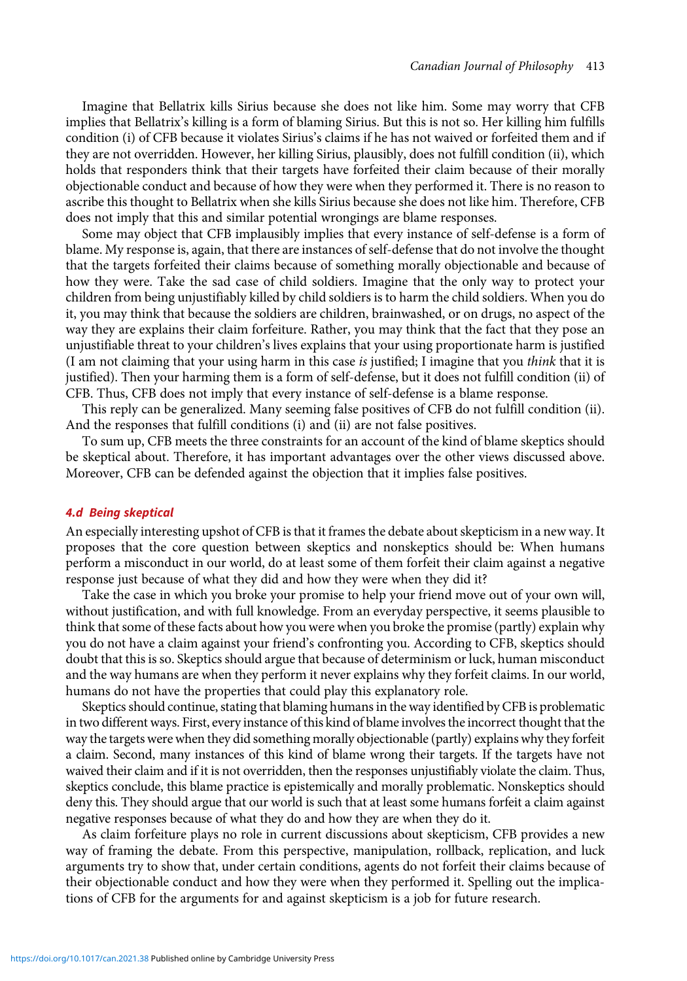Imagine that Bellatrix kills Sirius because she does not like him. Some may worry that CFB implies that Bellatrix's killing is a form of blaming Sirius. But this is not so. Her killing him fulfills condition (i) of CFB because it violates Sirius's claims if he has not waived or forfeited them and if they are not overridden. However, her killing Sirius, plausibly, does not fulfill condition (ii), which holds that responders think that their targets have forfeited their claim because of their morally objectionable conduct and because of how they were when they performed it. There is no reason to ascribe this thought to Bellatrix when she kills Sirius because she does not like him. Therefore, CFB does not imply that this and similar potential wrongings are blame responses.

Some may object that CFB implausibly implies that every instance of self-defense is a form of blame. My response is, again, that there are instances of self-defense that do not involve the thought that the targets forfeited their claims because of something morally objectionable and because of how they were. Take the sad case of child soldiers. Imagine that the only way to protect your children from being unjustifiably killed by child soldiers is to harm the child soldiers. When you do it, you may think that because the soldiers are children, brainwashed, or on drugs, no aspect of the way they are explains their claim forfeiture. Rather, you may think that the fact that they pose an unjustifiable threat to your children's lives explains that your using proportionate harm is justified (I am not claiming that your using harm in this case is justified; I imagine that you think that it is justified). Then your harming them is a form of self-defense, but it does not fulfill condition (ii) of CFB. Thus, CFB does not imply that every instance of self-defense is a blame response.

This reply can be generalized. Many seeming false positives of CFB do not fulfill condition (ii). And the responses that fulfill conditions (i) and (ii) are not false positives.

To sum up, CFB meets the three constraints for an account of the kind of blame skeptics should be skeptical about. Therefore, it has important advantages over the other views discussed above. Moreover, CFB can be defended against the objection that it implies false positives.

#### 4.d Being skeptical

An especially interesting upshot of CFB is that it frames the debate about skepticism in a new way. It proposes that the core question between skeptics and nonskeptics should be: When humans perform a misconduct in our world, do at least some of them forfeit their claim against a negative response just because of what they did and how they were when they did it?

Take the case in which you broke your promise to help your friend move out of your own will, without justification, and with full knowledge. From an everyday perspective, it seems plausible to think that some of these facts about how you were when you broke the promise (partly) explain why you do not have a claim against your friend's confronting you. According to CFB, skeptics should doubt that this is so. Skeptics should argue that because of determinism or luck, human misconduct and the way humans are when they perform it never explains why they forfeit claims. In our world, humans do not have the properties that could play this explanatory role.

Skeptics should continue, stating that blaming humans in the way identified by CFB is problematic in two different ways. First, every instance of this kind of blame involves the incorrect thought that the way the targets were when they did something morally objectionable (partly) explains why they forfeit a claim. Second, many instances of this kind of blame wrong their targets. If the targets have not waived their claim and if it is not overridden, then the responses unjustifiably violate the claim. Thus, skeptics conclude, this blame practice is epistemically and morally problematic. Nonskeptics should deny this. They should argue that our world is such that at least some humans forfeit a claim against negative responses because of what they do and how they are when they do it.

As claim forfeiture plays no role in current discussions about skepticism, CFB provides a new way of framing the debate. From this perspective, manipulation, rollback, replication, and luck arguments try to show that, under certain conditions, agents do not forfeit their claims because of their objectionable conduct and how they were when they performed it. Spelling out the implications of CFB for the arguments for and against skepticism is a job for future research.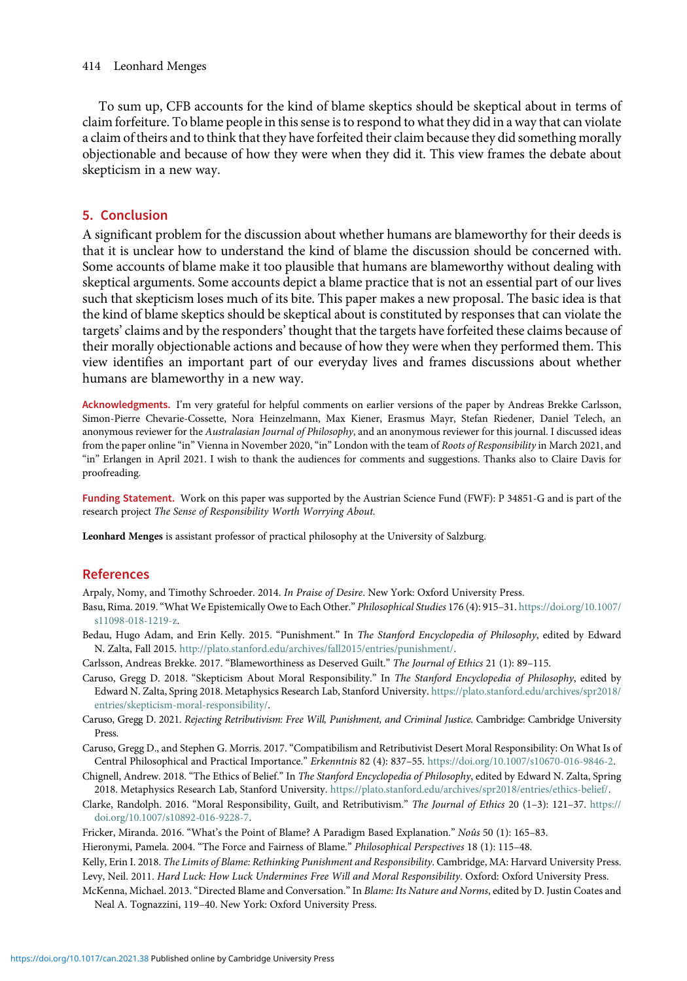<span id="page-13-0"></span>To sum up, CFB accounts for the kind of blame skeptics should be skeptical about in terms of claim forfeiture. To blame people in this sense is to respond to what they did in a way that can violate a claim of theirs and to think that they have forfeited their claim because they did something morally objectionable and because of how they were when they did it. This view frames the debate about skepticism in a new way.

# 5. Conclusion

A significant problem for the discussion about whether humans are blameworthy for their deeds is that it is unclear how to understand the kind of blame the discussion should be concerned with. Some accounts of blame make it too plausible that humans are blameworthy without dealing with skeptical arguments. Some accounts depict a blame practice that is not an essential part of our lives such that skepticism loses much of its bite. This paper makes a new proposal. The basic idea is that the kind of blame skeptics should be skeptical about is constituted by responses that can violate the targets' claims and by the responders' thought that the targets have forfeited these claims because of their morally objectionable actions and because of how they were when they performed them. This view identifies an important part of our everyday lives and frames discussions about whether humans are blameworthy in a new way.

Acknowledgments. I'm very grateful for helpful comments on earlier versions of the paper by Andreas Brekke Carlsson, Simon-Pierre Chevarie-Cossette, Nora Heinzelmann, Max Kiener, Erasmus Mayr, Stefan Riedener, Daniel Telech, an anonymous reviewer for the Australasian Journal of Philosophy, and an anonymous reviewer for this journal. I discussed ideas from the paper online "in" Vienna in November 2020, "in" London with the team of Roots of Responsibility in March 2021, and "in" Erlangen in April 2021. I wish to thank the audiences for comments and suggestions. Thanks also to Claire Davis for proofreading.

Funding Statement. Work on this paper was supported by the Austrian Science Fund (FWF): P 34851-G and is part of the research project The Sense of Responsibility Worth Worrying About.

Leonhard Menges is assistant professor of practical philosophy at the University of Salzburg.

# References

Arpaly, Nomy, and Timothy Schroeder. 2014. In Praise of Desire. New York: Oxford University Press.

- Basu, Rima. 2019."What We Epistemically Owe to Each Other." Philosophical Studies 176 (4): 915–31. [https://doi.org/10.1007/](https://doi.org/10.1007/s11098-018-1219-z) [s11098-018-1219-z.](https://doi.org/10.1007/s11098-018-1219-z)
- Bedau, Hugo Adam, and Erin Kelly. 2015. "Punishment." In The Stanford Encyclopedia of Philosophy, edited by Edward N. Zalta, Fall 2015. [http://plato.stanford.edu/archives/fall2015/entries/punishment/.](http://plato.stanford.edu/archives/fall2015/entries/punishment/)
- Carlsson, Andreas Brekke. 2017. "Blameworthiness as Deserved Guilt." The Journal of Ethics 21 (1): 89–115.
- Caruso, Gregg D. 2018. "Skepticism About Moral Responsibility." In The Stanford Encyclopedia of Philosophy, edited by Edward N. Zalta, Spring 2018. Metaphysics Research Lab, Stanford University. [https://plato.stanford.edu/archives/spr2018/](https://plato.stanford.edu/archives/spr2018/entries/skepticism-moral-responsibility/) [entries/skepticism-moral-responsibility/.](https://plato.stanford.edu/archives/spr2018/entries/skepticism-moral-responsibility/)
- Caruso, Gregg D. 2021. Rejecting Retributivism: Free Will, Punishment, and Criminal Justice. Cambridge: Cambridge University Press.
- Caruso, Gregg D., and Stephen G. Morris. 2017. "Compatibilism and Retributivist Desert Moral Responsibility: On What Is of Central Philosophical and Practical Importance." Erkenntnis 82 (4): 837–55. [https://doi.org/10.1007/s10670-016-9846-2.](https://doi.org/10.1007/s10670-016-9846-2)
- Chignell, Andrew. 2018. "The Ethics of Belief." In The Stanford Encyclopedia of Philosophy, edited by Edward N. Zalta, Spring 2018. Metaphysics Research Lab, Stanford University. <https://plato.stanford.edu/archives/spr2018/entries/ethics-belief/>.
- Clarke, Randolph. 2016. "Moral Responsibility, Guilt, and Retributivism." The Journal of Ethics 20 (1–3): 121–37. [https://](https://doi.org/10.1007/s10892-016-9228-7) [doi.org/10.1007/s10892-016-9228-7.](https://doi.org/10.1007/s10892-016-9228-7)
- Fricker, Miranda. 2016. "What's the Point of Blame? A Paradigm Based Explanation." Noûs 50 (1): 165-83.
- Hieronymi, Pamela. 2004. "The Force and Fairness of Blame." Philosophical Perspectives 18 (1): 115–48.

Kelly, Erin I. 2018. The Limits of Blame: Rethinking Punishment and Responsibility. Cambridge, MA: Harvard University Press. Levy, Neil. 2011. Hard Luck: How Luck Undermines Free Will and Moral Responsibility. Oxford: Oxford University Press. McKenna, Michael. 2013. "Directed Blame and Conversation." In Blame: Its Nature and Norms, edited by D. Justin Coates and Neal A. Tognazzini, 119–40. New York: Oxford University Press.

<https://doi.org/10.1017/can.2021.38> Published online by Cambridge University Press